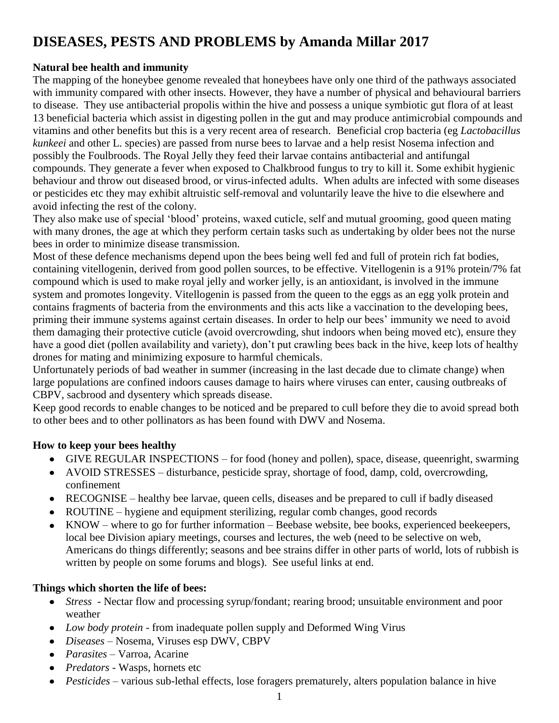# **DISEASES, PESTS AND PROBLEMS by Amanda Millar 2017**

# **Natural bee health and immunity**

The mapping of the honeybee genome revealed that honeybees have only one third of the pathways associated with immunity compared with other insects. However, they have a number of physical and behavioural barriers to disease. They use antibacterial propolis within the hive and possess a unique symbiotic gut flora of at least 13 beneficial bacteria which assist in digesting pollen in the gut and may produce antimicrobial compounds and vitamins and other benefits but this is a very recent area of research. Beneficial crop bacteria (eg *Lactobacillus kunkeei* and other L. species) are passed from nurse bees to larvae and a help resist Nosema infection and possibly the Foulbroods. The Royal Jelly they feed their larvae contains antibacterial and antifungal compounds. They generate a fever when exposed to Chalkbrood fungus to try to kill it. Some exhibit hygienic behaviour and throw out diseased brood, or virus-infected adults. When adults are infected with some diseases or pesticides etc they may exhibit altruistic self-removal and voluntarily leave the hive to die elsewhere and avoid infecting the rest of the colony.

They also make use of special "blood" proteins, waxed cuticle, self and mutual grooming, good queen mating with many drones, the age at which they perform certain tasks such as undertaking by older bees not the nurse bees in order to minimize disease transmission.

Most of these defence mechanisms depend upon the bees being well fed and full of protein rich fat bodies, containing vitellogenin, derived from good pollen sources, to be effective. Vitellogenin is a 91% protein/7% fat compound which is used to make royal jelly and worker jelly, is an antioxidant, is involved in the immune system and promotes longevity. Vitellogenin is passed from the queen to the eggs as an egg yolk protein and contains fragments of bacteria from the environments and this acts like a vaccination to the developing bees, priming their immune systems against certain diseases. In order to help our bees" immunity we need to avoid them damaging their protective cuticle (avoid overcrowding, shut indoors when being moved etc), ensure they have a good diet (pollen availability and variety), don"t put crawling bees back in the hive, keep lots of healthy drones for mating and minimizing exposure to harmful chemicals.

Unfortunately periods of bad weather in summer (increasing in the last decade due to climate change) when large populations are confined indoors causes damage to hairs where viruses can enter, causing outbreaks of CBPV, sacbrood and dysentery which spreads disease.

Keep good records to enable changes to be noticed and be prepared to cull before they die to avoid spread both to other bees and to other pollinators as has been found with DWV and Nosema.

# **How to keep your bees healthy**

- GIVE REGULAR INSPECTIONS for food (honey and pollen), space, disease, queenright, swarming
- AVOID STRESSES disturbance, pesticide spray, shortage of food, damp, cold, overcrowding, confinement
- RECOGNISE healthy bee larvae, queen cells, diseases and be prepared to cull if badly diseased
- ROUTINE hygiene and equipment sterilizing, regular comb changes, good records
- $\bullet$  KNOW where to go for further information Beebase website, bee books, experienced beekeepers, local bee Division apiary meetings, courses and lectures, the web (need to be selective on web, Americans do things differently; seasons and bee strains differ in other parts of world, lots of rubbish is written by people on some forums and blogs). See useful links at end.

# **Things which shorten the life of bees:**

- *Stress*  Nectar flow and processing syrup/fondant; rearing brood; unsuitable environment and poor  $\bullet$ weather
- *Low body protein -* from inadequate pollen supply and Deformed Wing Virus
- *Diseases*  Nosema, Viruses esp DWV, CBPV
- *Parasites* Varroa, Acarine
- *Predators -* Wasps, hornets etc
- *Pesticides* various sub-lethal effects, lose foragers prematurely, alters population balance in hive $\bullet$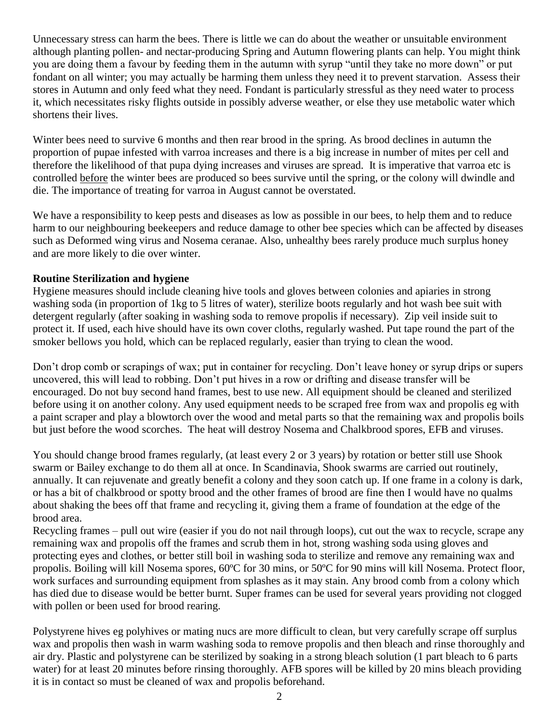Unnecessary stress can harm the bees. There is little we can do about the weather or unsuitable environment although planting pollen- and nectar-producing Spring and Autumn flowering plants can help. You might think you are doing them a favour by feeding them in the autumn with syrup "until they take no more down" or put fondant on all winter; you may actually be harming them unless they need it to prevent starvation. Assess their stores in Autumn and only feed what they need. Fondant is particularly stressful as they need water to process it, which necessitates risky flights outside in possibly adverse weather, or else they use metabolic water which shortens their lives.

Winter bees need to survive 6 months and then rear brood in the spring. As brood declines in autumn the proportion of pupae infested with varroa increases and there is a big increase in number of mites per cell and therefore the likelihood of that pupa dying increases and viruses are spread. It is imperative that varroa etc is controlled before the winter bees are produced so bees survive until the spring, or the colony will dwindle and die. The importance of treating for varroa in August cannot be overstated.

We have a responsibility to keep pests and diseases as low as possible in our bees, to help them and to reduce harm to our neighbouring beekeepers and reduce damage to other bee species which can be affected by diseases such as Deformed wing virus and Nosema ceranae. Also, unhealthy bees rarely produce much surplus honey and are more likely to die over winter.

# **Routine Sterilization and hygiene**

Hygiene measures should include cleaning hive tools and gloves between colonies and apiaries in strong washing soda (in proportion of 1kg to 5 litres of water), sterilize boots regularly and hot wash bee suit with detergent regularly (after soaking in washing soda to remove propolis if necessary). Zip veil inside suit to protect it. If used, each hive should have its own cover cloths, regularly washed. Put tape round the part of the smoker bellows you hold, which can be replaced regularly, easier than trying to clean the wood.

Don't drop comb or scrapings of wax; put in container for recycling. Don't leave honey or syrup drips or supers uncovered, this will lead to robbing. Don"t put hives in a row or drifting and disease transfer will be encouraged. Do not buy second hand frames, best to use new. All equipment should be cleaned and sterilized before using it on another colony. Any used equipment needs to be scraped free from wax and propolis eg with a paint scraper and play a blowtorch over the wood and metal parts so that the remaining wax and propolis boils but just before the wood scorches. The heat will destroy Nosema and Chalkbrood spores, EFB and viruses.

You should change brood frames regularly, (at least every 2 or 3 years) by rotation or better still use Shook swarm or Bailey exchange to do them all at once. In Scandinavia, Shook swarms are carried out routinely, annually. It can rejuvenate and greatly benefit a colony and they soon catch up. If one frame in a colony is dark, or has a bit of chalkbrood or spotty brood and the other frames of brood are fine then I would have no qualms about shaking the bees off that frame and recycling it, giving them a frame of foundation at the edge of the brood area.

Recycling frames – pull out wire (easier if you do not nail through loops), cut out the wax to recycle, scrape any remaining wax and propolis off the frames and scrub them in hot, strong washing soda using gloves and protecting eyes and clothes, or better still boil in washing soda to sterilize and remove any remaining wax and propolis. Boiling will kill Nosema spores, 60ºC for 30 mins, or 50ºC for 90 mins will kill Nosema. Protect floor, work surfaces and surrounding equipment from splashes as it may stain. Any brood comb from a colony which has died due to disease would be better burnt. Super frames can be used for several years providing not clogged with pollen or been used for brood rearing.

Polystyrene hives eg polyhives or mating nucs are more difficult to clean, but very carefully scrape off surplus wax and propolis then wash in warm washing soda to remove propolis and then bleach and rinse thoroughly and air dry. Plastic and polystyrene can be sterilized by soaking in a strong bleach solution (1 part bleach to 6 parts water) for at least 20 minutes before rinsing thoroughly. AFB spores will be killed by 20 mins bleach providing it is in contact so must be cleaned of wax and propolis beforehand.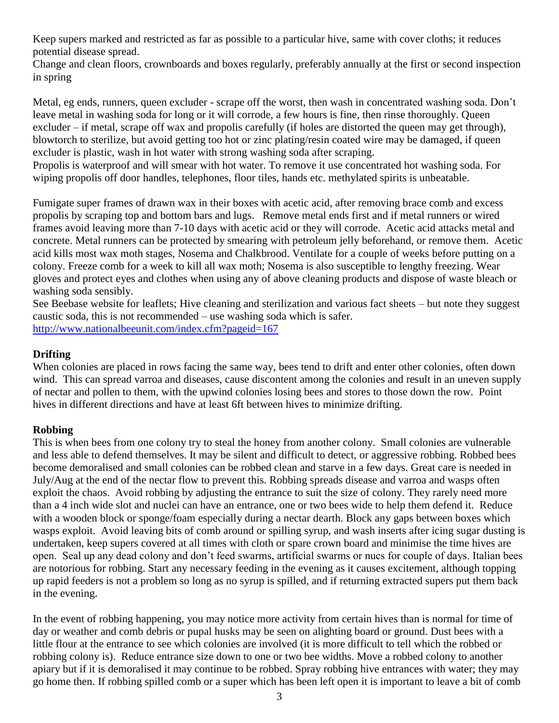Keep supers marked and restricted as far as possible to a particular hive, same with cover cloths; it reduces potential disease spread.

Change and clean floors, crownboards and boxes regularly, preferably annually at the first or second inspection in spring

Metal, eg ends, runners, queen excluder - scrape off the worst, then wash in concentrated washing soda. Don"t leave metal in washing soda for long or it will corrode, a few hours is fine, then rinse thoroughly. Queen excluder – if metal, scrape off wax and propolis carefully (if holes are distorted the queen may get through), blowtorch to sterilize, but avoid getting too hot or zinc plating/resin coated wire may be damaged, if queen excluder is plastic, wash in hot water with strong washing soda after scraping.

Propolis is waterproof and will smear with hot water. To remove it use concentrated hot washing soda. For wiping propolis off door handles, telephones, floor tiles, hands etc. methylated spirits is unbeatable.

Fumigate super frames of drawn wax in their boxes with acetic acid, after removing brace comb and excess propolis by scraping top and bottom bars and lugs. Remove metal ends first and if metal runners or wired frames avoid leaving more than 7-10 days with acetic acid or they will corrode. Acetic acid attacks metal and concrete. Metal runners can be protected by smearing with petroleum jelly beforehand, or remove them. Acetic acid kills most wax moth stages, Nosema and Chalkbrood. Ventilate for a couple of weeks before putting on a colony. Freeze comb for a week to kill all wax moth; Nosema is also susceptible to lengthy freezing. Wear gloves and protect eyes and clothes when using any of above cleaning products and dispose of waste bleach or washing soda sensibly.

See Beebase website for leaflets; Hive cleaning and sterilization and various fact sheets – but note they suggest caustic soda, this is not recommended – use washing soda which is safer. <http://www.nationalbeeunit.com/index.cfm?pageid=167>

# **Drifting**

When colonies are placed in rows facing the same way, bees tend to drift and enter other colonies, often down wind. This can spread varroa and diseases, cause discontent among the colonies and result in an uneven supply of nectar and pollen to them, with the upwind colonies losing bees and stores to those down the row. Point hives in different directions and have at least 6ft between hives to minimize drifting.

# **Robbing**

This is when bees from one colony try to steal the honey from another colony. Small colonies are vulnerable and less able to defend themselves. It may be silent and difficult to detect, or aggressive robbing. Robbed bees become demoralised and small colonies can be robbed clean and starve in a few days. Great care is needed in July/Aug at the end of the nectar flow to prevent this. Robbing spreads disease and varroa and wasps often exploit the chaos. Avoid robbing by adjusting the entrance to suit the size of colony. They rarely need more than a 4 inch wide slot and nuclei can have an entrance, one or two bees wide to help them defend it. Reduce with a wooden block or sponge/foam especially during a nectar dearth. Block any gaps between boxes which wasps exploit. Avoid leaving bits of comb around or spilling syrup, and wash inserts after icing sugar dusting is undertaken, keep supers covered at all times with cloth or spare crown board and minimise the time hives are open. Seal up any dead colony and don"t feed swarms, artificial swarms or nucs for couple of days. Italian bees are notorious for robbing. Start any necessary feeding in the evening as it causes excitement, although topping up rapid feeders is not a problem so long as no syrup is spilled, and if returning extracted supers put them back in the evening.

In the event of robbing happening, you may notice more activity from certain hives than is normal for time of day or weather and comb debris or pupal husks may be seen on alighting board or ground. Dust bees with a little flour at the entrance to see which colonies are involved (it is more difficult to tell which the robbed or robbing colony is). Reduce entrance size down to one or two bee widths. Move a robbed colony to another apiary but if it is demoralised it may continue to be robbed. Spray robbing hive entrances with water; they may go home then. If robbing spilled comb or a super which has been left open it is important to leave a bit of comb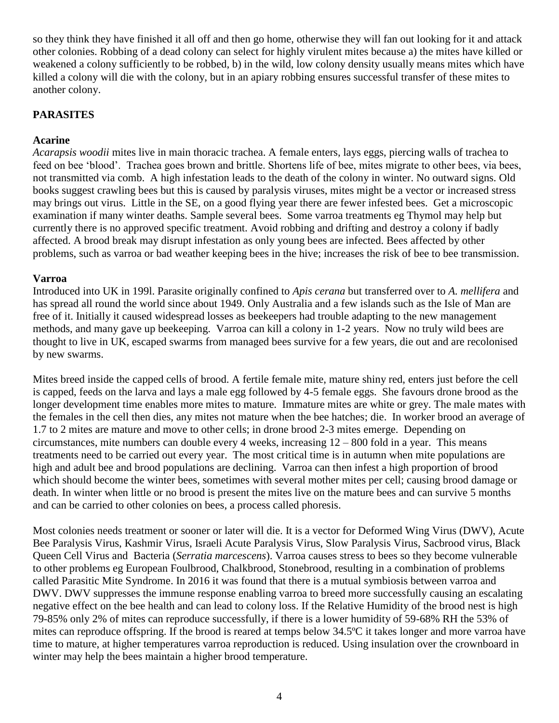so they think they have finished it all off and then go home, otherwise they will fan out looking for it and attack other colonies. Robbing of a dead colony can select for highly virulent mites because a) the mites have killed or weakened a colony sufficiently to be robbed, b) in the wild, low colony density usually means mites which have killed a colony will die with the colony, but in an apiary robbing ensures successful transfer of these mites to another colony.

#### **PARASITES**

#### **Acarine**

*Acarapsis woodii* mites live in main thoracic trachea. A female enters, lays eggs, piercing walls of trachea to feed on bee "blood". Trachea goes brown and brittle. Shortens life of bee, mites migrate to other bees, via bees, not transmitted via comb. A high infestation leads to the death of the colony in winter. No outward signs. Old books suggest crawling bees but this is caused by paralysis viruses, mites might be a vector or increased stress may brings out virus. Little in the SE, on a good flying year there are fewer infested bees. Get a microscopic examination if many winter deaths. Sample several bees. Some varroa treatments eg Thymol may help but currently there is no approved specific treatment. Avoid robbing and drifting and destroy a colony if badly affected. A brood break may disrupt infestation as only young bees are infected. Bees affected by other problems, such as varroa or bad weather keeping bees in the hive; increases the risk of bee to bee transmission.

#### **Varroa**

Introduced into UK in 199l. Parasite originally confined to *Apis cerana* but transferred over to *A. mellifera* and has spread all round the world since about 1949. Only Australia and a few islands such as the Isle of Man are free of it. Initially it caused widespread losses as beekeepers had trouble adapting to the new management methods, and many gave up beekeeping. Varroa can kill a colony in 1-2 years. Now no truly wild bees are thought to live in UK, escaped swarms from managed bees survive for a few years, die out and are recolonised by new swarms.

Mites breed inside the capped cells of brood. A fertile female mite, mature shiny red, enters just before the cell is capped, feeds on the larva and lays a male egg followed by 4-5 female eggs. She favours drone brood as the longer development time enables more mites to mature. Immature mites are white or grey. The male mates with the females in the cell then dies, any mites not mature when the bee hatches; die. In worker brood an average of 1.7 to 2 mites are mature and move to other cells; in drone brood 2-3 mites emerge. Depending on circumstances, mite numbers can double every 4 weeks, increasing 12 – 800 fold in a year. This means treatments need to be carried out every year. The most critical time is in autumn when mite populations are high and adult bee and brood populations are declining. Varroa can then infest a high proportion of brood which should become the winter bees, sometimes with several mother mites per cell; causing brood damage or death. In winter when little or no brood is present the mites live on the mature bees and can survive 5 months and can be carried to other colonies on bees, a process called phoresis.

Most colonies needs treatment or sooner or later will die. It is a vector for Deformed Wing Virus (DWV), Acute Bee Paralysis Virus, Kashmir Virus, Israeli Acute Paralysis Virus, Slow Paralysis Virus, Sacbrood virus, Black Queen Cell Virus and Bacteria (*Serratia marcescens*). Varroa causes stress to bees so they become vulnerable to other problems eg European Foulbrood, Chalkbrood, Stonebrood, resulting in a combination of problems called Parasitic Mite Syndrome. In 2016 it was found that there is a mutual symbiosis between varroa and DWV. DWV suppresses the immune response enabling varroa to breed more successfully causing an escalating negative effect on the bee health and can lead to colony loss. If the Relative Humidity of the brood nest is high 79-85% only 2% of mites can reproduce successfully, if there is a lower humidity of 59-68% RH the 53% of mites can reproduce offspring. If the brood is reared at temps below 34.5ºC it takes longer and more varroa have time to mature, at higher temperatures varroa reproduction is reduced. Using insulation over the crownboard in winter may help the bees maintain a higher brood temperature.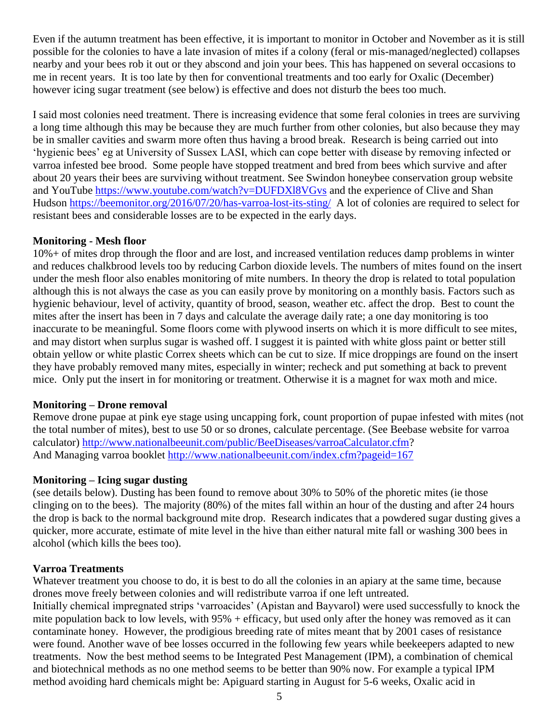Even if the autumn treatment has been effective, it is important to monitor in October and November as it is still possible for the colonies to have a late invasion of mites if a colony (feral or mis-managed/neglected) collapses nearby and your bees rob it out or they abscond and join your bees. This has happened on several occasions to me in recent years. It is too late by then for conventional treatments and too early for Oxalic (December) however icing sugar treatment (see below) is effective and does not disturb the bees too much.

I said most colonies need treatment. There is increasing evidence that some feral colonies in trees are surviving a long time although this may be because they are much further from other colonies, but also because they may be in smaller cavities and swarm more often thus having a brood break. Research is being carried out into "hygienic bees" eg at University of Sussex LASI, which can cope better with disease by removing infected or varroa infested bee brood. Some people have stopped treatment and bred from bees which survive and after about 20 years their bees are surviving without treatment. See Swindon honeybee conservation group website and YouTube<https://www.youtube.com/watch?v=DUFDXl8VGvs> and the experience of Clive and Shan Hudson<https://beemonitor.org/2016/07/20/has-varroa-lost-its-sting/>A lot of colonies are required to select for resistant bees and considerable losses are to be expected in the early days.

#### **Monitoring - Mesh floor**

10%+ of mites drop through the floor and are lost, and increased ventilation reduces damp problems in winter and reduces chalkbrood levels too by reducing Carbon dioxide levels. The numbers of mites found on the insert under the mesh floor also enables monitoring of mite numbers. In theory the drop is related to total population although this is not always the case as you can easily prove by monitoring on a monthly basis. Factors such as hygienic behaviour, level of activity, quantity of brood, season, weather etc. affect the drop. Best to count the mites after the insert has been in 7 days and calculate the average daily rate; a one day monitoring is too inaccurate to be meaningful. Some floors come with plywood inserts on which it is more difficult to see mites, and may distort when surplus sugar is washed off. I suggest it is painted with white gloss paint or better still obtain yellow or white plastic Correx sheets which can be cut to size. If mice droppings are found on the insert they have probably removed many mites, especially in winter; recheck and put something at back to prevent mice. Only put the insert in for monitoring or treatment. Otherwise it is a magnet for wax moth and mice.

# **Monitoring – Drone removal**

Remove drone pupae at pink eye stage using uncapping fork, count proportion of pupae infested with mites (not the total number of mites), best to use 50 or so drones, calculate percentage. (See Beebase website for varroa calculator) [http://www.nationalbeeunit.com/public/BeeDiseases/varroaCalculator.cfm?](http://www.nationalbeeunit.com/public/BeeDiseases/varroaCalculator.cfm) And Managing varroa booklet<http://www.nationalbeeunit.com/index.cfm?pageid=167>

# **Monitoring – Icing sugar dusting**

(see details below). Dusting has been found to remove about 30% to 50% of the phoretic mites (ie those clinging on to the bees). The majority (80%) of the mites fall within an hour of the dusting and after 24 hours the drop is back to the normal background mite drop. Research indicates that a powdered sugar dusting gives a quicker, more accurate, estimate of mite level in the hive than either natural mite fall or washing 300 bees in alcohol (which kills the bees too).

#### **Varroa Treatments**

Whatever treatment you choose to do, it is best to do all the colonies in an apiary at the same time, because drones move freely between colonies and will redistribute varroa if one left untreated. Initially chemical impregnated strips "varroacides" (Apistan and Bayvarol) were used successfully to knock the mite population back to low levels, with 95% + efficacy, but used only after the honey was removed as it can contaminate honey. However, the prodigious breeding rate of mites meant that by 2001 cases of resistance were found. Another wave of bee losses occurred in the following few years while beekeepers adapted to new treatments. Now the best method seems to be Integrated Pest Management (IPM), a combination of chemical and biotechnical methods as no one method seems to be better than 90% now. For example a typical IPM method avoiding hard chemicals might be: Apiguard starting in August for 5-6 weeks, Oxalic acid in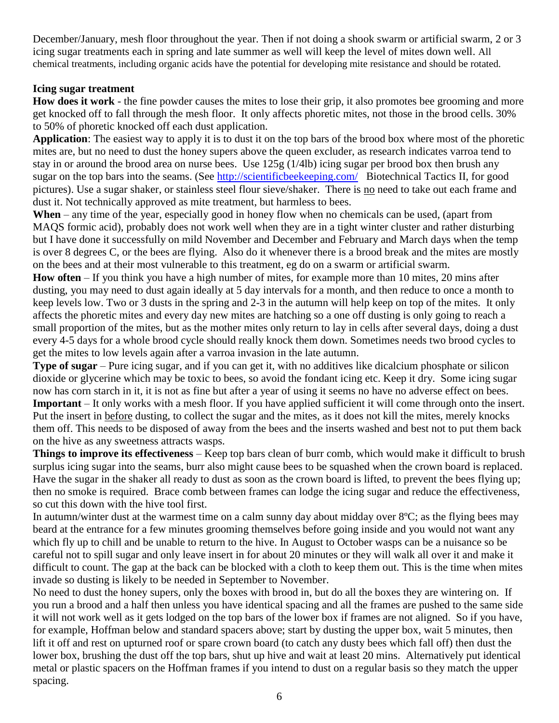December/January, mesh floor throughout the year. Then if not doing a shook swarm or artificial swarm, 2 or 3 icing sugar treatments each in spring and late summer as well will keep the level of mites down well. All chemical treatments, including organic acids have the potential for developing mite resistance and should be rotated.

#### **Icing sugar treatment**

**How does it work** - the fine powder causes the mites to lose their grip, it also promotes bee grooming and more get knocked off to fall through the mesh floor. It only affects phoretic mites, not those in the brood cells. 30% to 50% of phoretic knocked off each dust application.

**Application**: The easiest way to apply it is to dust it on the top bars of the brood box where most of the phoretic mites are, but no need to dust the honey supers above the queen excluder, as research indicates varroa tend to stay in or around the brood area on nurse bees. Use 125g (1/4lb) icing sugar per brood box then brush any sugar on the top bars into the seams. (See<http://scientificbeekeeping.com/>Biotechnical Tactics II, for good pictures). Use a sugar shaker, or stainless steel flour sieve/shaker. There is no need to take out each frame and dust it. Not technically approved as mite treatment, but harmless to bees.

**When** – any time of the year, especially good in honey flow when no chemicals can be used, (apart from MAQS formic acid), probably does not work well when they are in a tight winter cluster and rather disturbing but I have done it successfully on mild November and December and February and March days when the temp is over 8 degrees C, or the bees are flying. Also do it whenever there is a brood break and the mites are mostly on the bees and at their most vulnerable to this treatment, eg do on a swarm or artificial swarm.

**How often** – If you think you have a high number of mites, for example more than 10 mites, 20 mins after dusting, you may need to dust again ideally at 5 day intervals for a month, and then reduce to once a month to keep levels low. Two or 3 dusts in the spring and 2-3 in the autumn will help keep on top of the mites. It only affects the phoretic mites and every day new mites are hatching so a one off dusting is only going to reach a small proportion of the mites, but as the mother mites only return to lay in cells after several days, doing a dust every 4-5 days for a whole brood cycle should really knock them down. Sometimes needs two brood cycles to get the mites to low levels again after a varroa invasion in the late autumn.

**Type of sugar** – Pure icing sugar, and if you can get it, with no additives like dicalcium phosphate or silicon dioxide or glycerine which may be toxic to bees, so avoid the fondant icing etc. Keep it dry. Some icing sugar now has corn starch in it, it is not as fine but after a year of using it seems no have no adverse effect on bees. **Important** – It only works with a mesh floor. If you have applied sufficient it will come through onto the insert. Put the insert in before dusting, to collect the sugar and the mites, as it does not kill the mites, merely knocks them off. This needs to be disposed of away from the bees and the inserts washed and best not to put them back on the hive as any sweetness attracts wasps.

**Things to improve its effectiveness** – Keep top bars clean of burr comb, which would make it difficult to brush surplus icing sugar into the seams, burr also might cause bees to be squashed when the crown board is replaced. Have the sugar in the shaker all ready to dust as soon as the crown board is lifted, to prevent the bees flying up; then no smoke is required. Brace comb between frames can lodge the icing sugar and reduce the effectiveness, so cut this down with the hive tool first.

In autumn/winter dust at the warmest time on a calm sunny day about midday over 8ºC; as the flying bees may beard at the entrance for a few minutes grooming themselves before going inside and you would not want any which fly up to chill and be unable to return to the hive. In August to October wasps can be a nuisance so be careful not to spill sugar and only leave insert in for about 20 minutes or they will walk all over it and make it difficult to count. The gap at the back can be blocked with a cloth to keep them out. This is the time when mites invade so dusting is likely to be needed in September to November.

No need to dust the honey supers, only the boxes with brood in, but do all the boxes they are wintering on. If you run a brood and a half then unless you have identical spacing and all the frames are pushed to the same side it will not work well as it gets lodged on the top bars of the lower box if frames are not aligned. So if you have, for example, Hoffman below and standard spacers above; start by dusting the upper box, wait 5 minutes, then lift it off and rest on upturned roof or spare crown board (to catch any dusty bees which fall off) then dust the lower box, brushing the dust off the top bars, shut up hive and wait at least 20 mins. Alternatively put identical metal or plastic spacers on the Hoffman frames if you intend to dust on a regular basis so they match the upper spacing.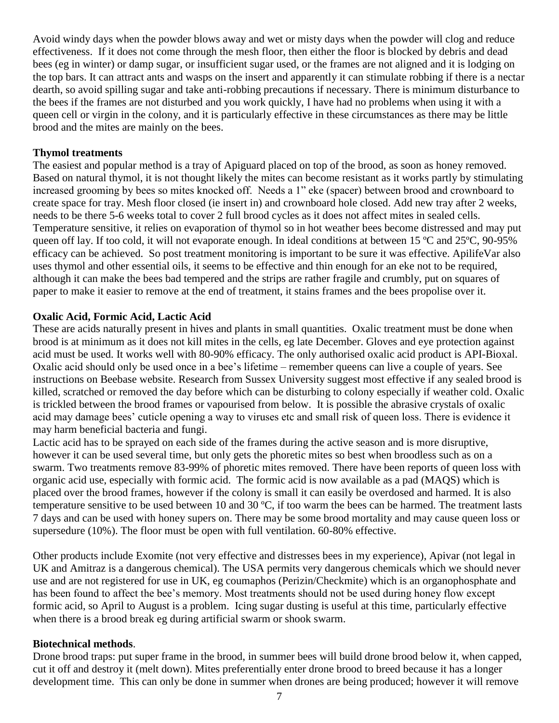Avoid windy days when the powder blows away and wet or misty days when the powder will clog and reduce effectiveness. If it does not come through the mesh floor, then either the floor is blocked by debris and dead bees (eg in winter) or damp sugar, or insufficient sugar used, or the frames are not aligned and it is lodging on the top bars. It can attract ants and wasps on the insert and apparently it can stimulate robbing if there is a nectar dearth, so avoid spilling sugar and take anti-robbing precautions if necessary. There is minimum disturbance to the bees if the frames are not disturbed and you work quickly, I have had no problems when using it with a queen cell or virgin in the colony, and it is particularly effective in these circumstances as there may be little brood and the mites are mainly on the bees.

#### **Thymol treatments**

The easiest and popular method is a tray of Apiguard placed on top of the brood, as soon as honey removed. Based on natural thymol, it is not thought likely the mites can become resistant as it works partly by stimulating increased grooming by bees so mites knocked off. Needs a 1" eke (spacer) between brood and crownboard to create space for tray. Mesh floor closed (ie insert in) and crownboard hole closed. Add new tray after 2 weeks, needs to be there 5-6 weeks total to cover 2 full brood cycles as it does not affect mites in sealed cells. Temperature sensitive, it relies on evaporation of thymol so in hot weather bees become distressed and may put queen off lay. If too cold, it will not evaporate enough. In ideal conditions at between 15 ºC and 25ºC, 90-95% efficacy can be achieved. So post treatment monitoring is important to be sure it was effective. ApilifeVar also uses thymol and other essential oils, it seems to be effective and thin enough for an eke not to be required, although it can make the bees bad tempered and the strips are rather fragile and crumbly, put on squares of paper to make it easier to remove at the end of treatment, it stains frames and the bees propolise over it.

#### **Oxalic Acid, Formic Acid, Lactic Acid**

These are acids naturally present in hives and plants in small quantities. Oxalic treatment must be done when brood is at minimum as it does not kill mites in the cells, eg late December. Gloves and eye protection against acid must be used. It works well with 80-90% efficacy. The only authorised oxalic acid product is API-Bioxal. Oxalic acid should only be used once in a bee"s lifetime – remember queens can live a couple of years. See instructions on Beebase website. Research from Sussex University suggest most effective if any sealed brood is killed, scratched or removed the day before which can be disturbing to colony especially if weather cold. Oxalic is trickled between the brood frames or vapourised from below. It is possible the abrasive crystals of oxalic acid may damage bees" cuticle opening a way to viruses etc and small risk of queen loss. There is evidence it may harm beneficial bacteria and fungi.

Lactic acid has to be sprayed on each side of the frames during the active season and is more disruptive, however it can be used several time, but only gets the phoretic mites so best when broodless such as on a swarm. Two treatments remove 83-99% of phoretic mites removed. There have been reports of queen loss with organic acid use, especially with formic acid. The formic acid is now available as a pad (MAQS) which is placed over the brood frames, however if the colony is small it can easily be overdosed and harmed. It is also temperature sensitive to be used between 10 and 30 ºC, if too warm the bees can be harmed. The treatment lasts 7 days and can be used with honey supers on. There may be some brood mortality and may cause queen loss or supersedure (10%). The floor must be open with full ventilation. 60-80% effective.

Other products include Exomite (not very effective and distresses bees in my experience), Apivar (not legal in UK and Amitraz is a dangerous chemical). The USA permits very dangerous chemicals which we should never use and are not registered for use in UK, eg coumaphos (Perizin/Checkmite) which is an organophosphate and has been found to affect the bee's memory. Most treatments should not be used during honey flow except formic acid, so April to August is a problem. Icing sugar dusting is useful at this time, particularly effective when there is a brood break eg during artificial swarm or shook swarm.

# **Biotechnical methods**.

Drone brood traps: put super frame in the brood, in summer bees will build drone brood below it, when capped, cut it off and destroy it (melt down). Mites preferentially enter drone brood to breed because it has a longer development time. This can only be done in summer when drones are being produced; however it will remove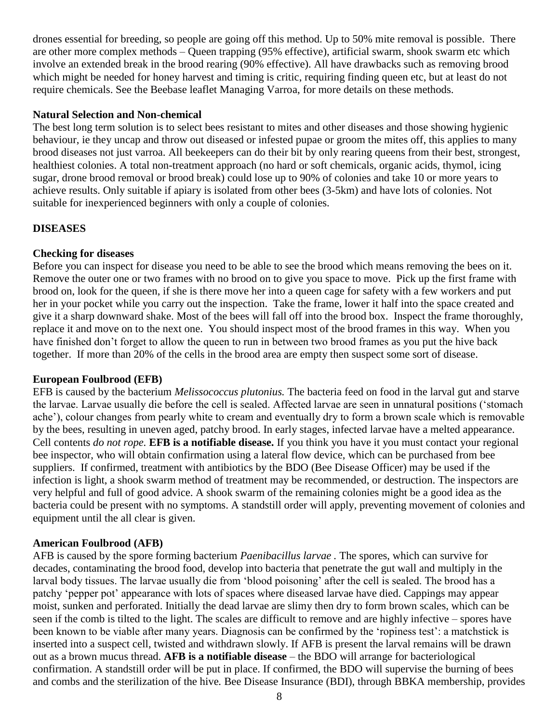drones essential for breeding, so people are going off this method. Up to 50% mite removal is possible. There are other more complex methods – Queen trapping (95% effective), artificial swarm, shook swarm etc which involve an extended break in the brood rearing (90% effective). All have drawbacks such as removing brood which might be needed for honey harvest and timing is critic, requiring finding queen etc, but at least do not require chemicals. See the Beebase leaflet Managing Varroa, for more details on these methods.

#### **Natural Selection and Non-chemical**

The best long term solution is to select bees resistant to mites and other diseases and those showing hygienic behaviour, ie they uncap and throw out diseased or infested pupae or groom the mites off, this applies to many brood diseases not just varroa. All beekeepers can do their bit by only rearing queens from their best, strongest, healthiest colonies. A total non-treatment approach (no hard or soft chemicals, organic acids, thymol, icing sugar, drone brood removal or brood break) could lose up to 90% of colonies and take 10 or more years to achieve results. Only suitable if apiary is isolated from other bees (3-5km) and have lots of colonies. Not suitable for inexperienced beginners with only a couple of colonies.

#### **DISEASES**

#### **Checking for diseases**

Before you can inspect for disease you need to be able to see the brood which means removing the bees on it. Remove the outer one or two frames with no brood on to give you space to move. Pick up the first frame with brood on, look for the queen, if she is there move her into a queen cage for safety with a few workers and put her in your pocket while you carry out the inspection. Take the frame, lower it half into the space created and give it a sharp downward shake. Most of the bees will fall off into the brood box. Inspect the frame thoroughly, replace it and move on to the next one. You should inspect most of the brood frames in this way. When you have finished don't forget to allow the queen to run in between two brood frames as you put the hive back together. If more than 20% of the cells in the brood area are empty then suspect some sort of disease.

#### **European Foulbrood (EFB)**

EFB is caused by the bacterium *Melissococcus plutonius.* The bacteria feed on food in the larval gut and starve the larvae. Larvae usually die before the cell is sealed. Affected larvae are seen in unnatural positions ("stomach ache'), colour changes from pearly white to cream and eventually dry to form a brown scale which is removable by the bees, resulting in uneven aged, patchy brood. In early stages, infected larvae have a melted appearance. Cell contents *do not rope.* **EFB is a notifiable disease.** If you think you have it you must contact your regional bee inspector, who will obtain confirmation using a lateral flow device, which can be purchased from bee suppliers. If confirmed, treatment with antibiotics by the BDO (Bee Disease Officer) may be used if the infection is light, a shook swarm method of treatment may be recommended, or destruction. The inspectors are very helpful and full of good advice. A shook swarm of the remaining colonies might be a good idea as the bacteria could be present with no symptoms. A standstill order will apply, preventing movement of colonies and equipment until the all clear is given.

#### **American Foulbrood (AFB)**

AFB is caused by the spore forming bacterium *Paenibacillus larvae .* The spores, which can survive for decades, contaminating the brood food, develop into bacteria that penetrate the gut wall and multiply in the larval body tissues. The larvae usually die from "blood poisoning" after the cell is sealed. The brood has a patchy "pepper pot" appearance with lots of spaces where diseased larvae have died. Cappings may appear moist, sunken and perforated. Initially the dead larvae are slimy then dry to form brown scales, which can be seen if the comb is tilted to the light. The scales are difficult to remove and are highly infective – spores have been known to be viable after many years. Diagnosis can be confirmed by the 'ropiness test': a matchstick is inserted into a suspect cell, twisted and withdrawn slowly. If AFB is present the larval remains will be drawn out as a brown mucus thread. **AFB is a notifiable disease** – the BDO will arrange for bacteriological confirmation. A standstill order will be put in place. If confirmed, the BDO will supervise the burning of bees and combs and the sterilization of the hive*.* Bee Disease Insurance (BDI), through BBKA membership, provides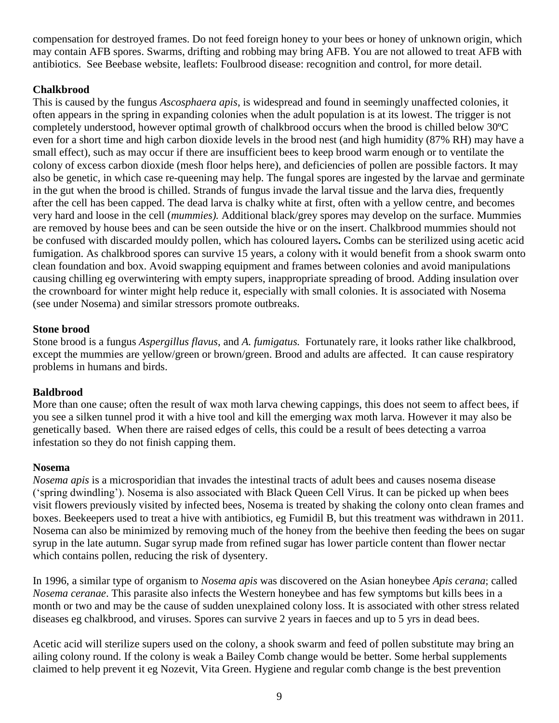compensation for destroyed frames. Do not feed foreign honey to your bees or honey of unknown origin, which may contain AFB spores. Swarms, drifting and robbing may bring AFB. You are not allowed to treat AFB with antibiotics. See Beebase website, leaflets: Foulbrood disease: recognition and control, for more detail.

# **Chalkbrood**

This is caused by the fungus *Ascosphaera apis*, is widespread and found in seemingly unaffected colonies, it often appears in the spring in expanding colonies when the adult population is at its lowest. The trigger is not completely understood, however optimal growth of chalkbrood occurs when the brood is chilled below 30ºC even for a short time and high carbon dioxide levels in the brood nest (and high humidity (87% RH) may have a small effect), such as may occur if there are insufficient bees to keep brood warm enough or to ventilate the colony of excess carbon dioxide (mesh floor helps here), and deficiencies of pollen are possible factors. It may also be genetic, in which case re-queening may help. The fungal spores are ingested by the larvae and germinate in the gut when the brood is chilled. Strands of fungus invade the larval tissue and the larva dies, frequently after the cell has been capped. The dead larva is chalky white at first, often with a yellow centre, and becomes very hard and loose in the cell (*mummies).* Additional black/grey spores may develop on the surface. Mummies are removed by house bees and can be seen outside the hive or on the insert. Chalkbrood mummies should not be confused with discarded mouldy pollen, which has coloured layers**.** Combs can be sterilized using acetic acid fumigation. As chalkbrood spores can survive 15 years, a colony with it would benefit from a shook swarm onto clean foundation and box. Avoid swapping equipment and frames between colonies and avoid manipulations causing chilling eg overwintering with empty supers, inappropriate spreading of brood. Adding insulation over the crownboard for winter might help reduce it, especially with small colonies. It is associated with Nosema (see under Nosema) and similar stressors promote outbreaks.

#### **Stone brood**

Stone brood is a fungus *Aspergillus flavus*, and *A. fumigatus.* Fortunately rare, it looks rather like chalkbrood, except the mummies are yellow/green or brown/green. Brood and adults are affected. It can cause respiratory problems in humans and birds.

# **Baldbrood**

More than one cause; often the result of wax moth larva chewing cappings, this does not seem to affect bees, if you see a silken tunnel prod it with a hive tool and kill the emerging wax moth larva. However it may also be genetically based. When there are raised edges of cells, this could be a result of bees detecting a varroa infestation so they do not finish capping them.

#### **Nosema**

*[Nosema apis](http://en.wikipedia.org/wiki/Nosema_apis)* is a [microsporidian](http://en.wikipedia.org/wiki/Microsporidian) that invades the intestinal tracts of adult bees and causes nosema disease ("spring dwindling"). Nosema is also associated with [Black Queen Cell Virus.](http://en.wikipedia.org/w/index.php?title=BQCV&action=edit&redlink=1) It can be picked up when bees visit flowers previously visited by infected bees, Nosema is treated by shaking the colony onto clean frames and boxes. Beekeepers used to treat a hive with [antibiotics,](http://en.wikipedia.org/wiki/Antibiotic) eg Fumidil B, but this treatment was withdrawn in 2011. Nosema can also be minimized by removing much of the honey from the beehive then feeding the bees on sugar syrup in the late autumn. Sugar syrup made from refined sugar has lower particle content than flower nectar which contains pollen, reducing the risk of dysentery.

In 1996, a similar type of organism to *Nosema apis* was discovered on the Asian honeybee *[Apis cerana](http://en.wikipedia.org/wiki/Apis_cerana)*; called *[Nosema ceranae](http://en.wikipedia.org/wiki/Nosema_ceranae)*. This parasite also infects the Western honeybee and has few symptoms but kills bees in a month or two and may be the cause of sudden unexplained colony loss. It is associated with other stress related diseases eg chalkbrood, and viruses. Spores can survive 2 years in faeces and up to 5 yrs in dead bees.

Acetic acid will sterilize supers used on the colony, a shook swarm and feed of pollen substitute may bring an ailing colony round. If the colony is weak a Bailey Comb change would be better. Some herbal supplements claimed to help prevent it eg Nozevit, Vita Green. Hygiene and regular comb change is the best prevention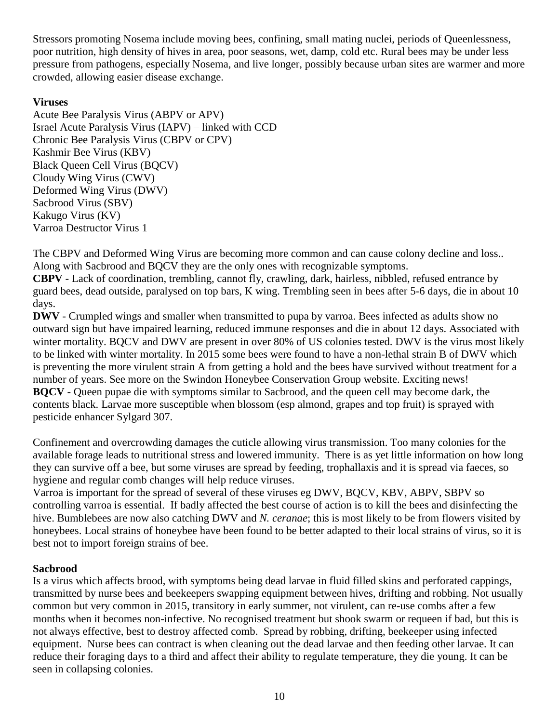Stressors promoting Nosema include moving bees, confining, small mating nuclei, periods of Queenlessness, poor nutrition, high density of hives in area, poor seasons, wet, damp, cold etc. Rural bees may be under less pressure from pathogens, especially Nosema, and live longer, possibly because urban sites are warmer and more crowded, allowing easier disease exchange.

# **Viruses**

Acute Bee [Paralysis Virus \(ABPV or APV\)](http://en.wikipedia.org/wiki/Diseases_of_the_honey_bee#Acute_bee_paralysis_virus_.28ABPV.29_or_.28APV.29) [Israel Acute Paralysis Virus \(IAPV\)](http://en.wikipedia.org/wiki/Diseases_of_the_honey_bee#Israel_acute_paralysis_virus_.28IAPV.29) – linked with CCD [Chronic Bee Paralysis Virus \(CBPV](http://en.wikipedia.org/wiki/Diseases_of_the_honey_bee#Chronic_Paralysis_Virus_.5BCPV.5D) or CPV) [Kashmir Bee Virus \(KBV\)](http://en.wikipedia.org/wiki/Diseases_of_the_honey_bee#Kashmir_bee_virus_.28KBV.29) [Black Queen Cell Virus \(BQCV\)](http://en.wikipedia.org/wiki/Diseases_of_the_honey_bee#Black_Queen_Cell_Virus_.28BQCV.29) [Cloudy Wing Virus \(CWV\)](http://en.wikipedia.org/wiki/Diseases_of_the_honey_bee#Cloudy_Wing_Virus_.28CWV.29) [Deformed Wing Virus \(DWV\)](http://en.wikipedia.org/wiki/Diseases_of_the_honey_bee#Deformed_Wing_Virus_.28DWV.29) [Sacbrood Virus \(SBV\)](http://en.wikipedia.org/wiki/Diseases_of_the_honey_bee#Sacbrood_virus_.28SBV.29) [Kakugo Virus \(KV\)](http://en.wikipedia.org/wiki/Diseases_of_the_honey_bee#Kakugo_virus_.28KV.29) Varroa Destructor Virus 1

The CBPV and Deformed Wing Virus are becoming more common and can cause colony decline and loss.. Along with Sacbrood and BQCV they are the only ones with recognizable symptoms.

**CBPV** - Lack of coordination, trembling, cannot fly, crawling, dark, hairless, nibbled, refused entrance by guard bees, dead outside, paralysed on top bars, K wing. Trembling seen in bees after 5-6 days, die in about 10 days.

**DWV** - Crumpled wings and smaller when transmitted to pupa by varroa. Bees infected as adults show no outward sign but have impaired learning, reduced immune responses and die in about 12 days. Associated with winter mortality. BQCV and DWV are present in over 80% of US colonies tested. DWV is the virus most likely to be linked with winter mortality. In 2015 some bees were found to have a non-lethal strain B of DWV which is preventing the more virulent strain A from getting a hold and the bees have survived without treatment for a number of years. See more on the Swindon Honeybee Conservation Group website. Exciting news! **BQCV** - Queen pupae die with symptoms similar to Sacbrood, and the queen cell may become dark, the contents black. Larvae more susceptible when blossom (esp almond, grapes and top fruit) is sprayed with pesticide enhancer Sylgard 307.

Confinement and overcrowding damages the cuticle allowing virus transmission. Too many colonies for the available forage leads to nutritional stress and lowered immunity. There is as yet little information on how long they can survive off a bee, but some viruses are spread by feeding, trophallaxis and it is spread via faeces, so hygiene and regular comb changes will help reduce viruses.

Varroa is important for the spread of several of these viruses eg DWV, BQCV, KBV, ABPV, SBPV so controlling varroa is essential. If badly affected the best course of action is to kill the bees and disinfecting the hive. Bumblebees are now also catching DWV and *N. ceranae*; this is most likely to be from flowers visited by honeybees. Local strains of honeybee have been found to be better adapted to their local strains of virus, so it is best not to import foreign strains of bee.

# **Sacbrood**

Is a virus which affects brood, with symptoms being dead larvae in fluid filled skins and perforated cappings, transmitted by nurse bees and beekeepers swapping equipment between hives, drifting and robbing. Not usually common but very common in 2015, transitory in early summer, not virulent, can re-use combs after a few months when it becomes non-infective. No recognised treatment but shook swarm or requeen if bad, but this is not always effective, best to destroy affected comb. Spread by robbing, drifting, beekeeper using infected equipment. Nurse bees can contract is when cleaning out the dead larvae and then feeding other larvae. It can reduce their foraging days to a third and affect their ability to regulate temperature, they die young. It can be seen in collapsing colonies.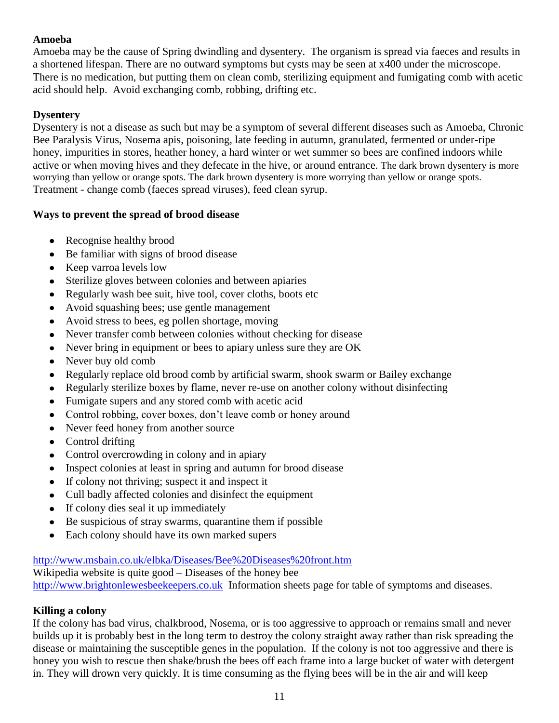# **Amoeba**

Amoeba may be the cause of Spring dwindling and dysentery. The organism is spread via faeces and results in a shortened lifespan. There are no outward symptoms but cysts may be seen at x400 under the microscope. There is no medication, but putting them on clean comb, sterilizing equipment and fumigating comb with acetic acid should help. Avoid exchanging comb, robbing, drifting etc.

# **Dysentery**

Dysentery is not a disease as such but may be a symptom of several different diseases such as Amoeba, Chronic Bee Paralysis Virus, Nosema apis, poisoning, late feeding in autumn, granulated, fermented or under-ripe honey, impurities in stores, heather honey, a hard winter or wet summer so bees are confined indoors while active or when moving hives and they defecate in the hive, or around entrance. The dark brown dysentery is more worrying than yellow or orange spots. The dark brown dysentery is more worrying than yellow or orange spots. Treatment - change comb (faeces spread viruses), feed clean syrup.

# **Ways to prevent the spread of brood disease**

- Recognise healthy brood
- Be familiar with signs of brood disease
- Keep varroa levels low
- Sterilize gloves between colonies and between apiaries
- Regularly wash bee suit, hive tool, cover cloths, boots etc  $\bullet$
- Avoid squashing bees; use gentle management  $\bullet$
- Avoid stress to bees, eg pollen shortage, moving  $\bullet$
- Never transfer comb between colonies without checking for disease  $\bullet$
- Never bring in equipment or bees to apiary unless sure they are OK
- Never buy old comb
- Regularly replace old brood comb by artificial swarm, shook swarm or Bailey exchange  $\bullet$
- Regularly sterilize boxes by flame, never re-use on another colony without disinfecting  $\bullet$
- Fumigate supers and any stored comb with acetic acid  $\bullet$
- Control robbing, cover boxes, don't leave comb or honey around
- Never feed honey from another source
- Control drifting  $\bullet$
- Control overcrowding in colony and in apiary
- Inspect colonies at least in spring and autumn for brood disease  $\bullet$
- If colony not thriving; suspect it and inspect it
- Cull badly affected colonies and disinfect the equipment  $\bullet$
- If colony dies seal it up immediately  $\bullet$
- Be suspicious of stray swarms, quarantine them if possible  $\bullet$
- Each colony should have its own marked supers  $\bullet$

# <http://www.msbain.co.uk/elbka/Diseases/Bee%20Diseases%20front.htm>

Wikipedia website is quite good – Diseases of the honey bee [http://www.brightonlewesbeekeepers.co.uk](http://www.brightonlewesbeekeepers.co.uk/index.php?option=com_content&view=article&id=87&Itemid=70) Information sheets page for table of symptoms and diseases.

# **Killing a colony**

If the colony has bad virus, chalkbrood, Nosema, or is too aggressive to approach or remains small and never builds up it is probably best in the long term to destroy the colony straight away rather than risk spreading the disease or maintaining the susceptible genes in the population. If the colony is not too aggressive and there is honey you wish to rescue then shake/brush the bees off each frame into a large bucket of water with detergent in. They will drown very quickly. It is time consuming as the flying bees will be in the air and will keep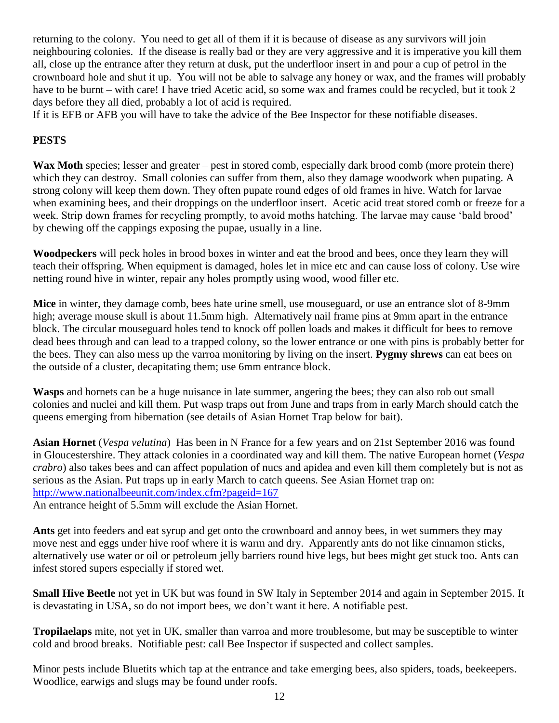returning to the colony. You need to get all of them if it is because of disease as any survivors will join neighbouring colonies. If the disease is really bad or they are very aggressive and it is imperative you kill them all, close up the entrance after they return at dusk, put the underfloor insert in and pour a cup of petrol in the crownboard hole and shut it up. You will not be able to salvage any honey or wax, and the frames will probably have to be burnt – with care! I have tried Acetic acid, so some wax and frames could be recycled, but it took 2 days before they all died, probably a lot of acid is required.

If it is EFB or AFB you will have to take the advice of the Bee Inspector for these notifiable diseases.

# **PESTS**

Wax Moth species; lesser and greater – pest in stored comb, especially dark brood comb (more protein there) which they can destroy. Small colonies can suffer from them, also they damage woodwork when pupating. A strong colony will keep them down. They often pupate round edges of old frames in hive. Watch for larvae when examining bees, and their droppings on the underfloor insert. Acetic acid treat stored comb or freeze for a week. Strip down frames for recycling promptly, to avoid moths hatching. The larvae may cause 'bald brood' by chewing off the cappings exposing the pupae, usually in a line.

**Woodpeckers** will peck holes in brood boxes in winter and eat the brood and bees, once they learn they will teach their offspring. When equipment is damaged, holes let in mice etc and can cause loss of colony. Use wire netting round hive in winter, repair any holes promptly using wood, wood filler etc.

**Mice** in winter, they damage comb, bees hate urine smell, use mouseguard, or use an entrance slot of 8-9mm high; average mouse skull is about 11.5mm high. Alternatively nail frame pins at 9mm apart in the entrance block. The circular mouseguard holes tend to knock off pollen loads and makes it difficult for bees to remove dead bees through and can lead to a trapped colony, so the lower entrance or one with pins is probably better for the bees. They can also mess up the varroa monitoring by living on the insert. **Pygmy shrews** can eat bees on the outside of a cluster, decapitating them; use 6mm entrance block.

**Wasps** and hornets can be a huge nuisance in late summer, angering the bees; they can also rob out small colonies and nuclei and kill them. Put wasp traps out from June and traps from in early March should catch the queens emerging from hibernation (see details of Asian Hornet Trap below for bait).

**Asian Hornet** (*Vespa velutina*) Has been in N France for a few years and on 21st September 2016 was found in Gloucestershire. They attack colonies in a coordinated way and kill them. The native European hornet (*Vespa crabro*) also takes bees and can affect population of nucs and apidea and even kill them completely but is not as serious as the Asian. Put traps up in early March to catch queens. See Asian Hornet trap on: <http://www.nationalbeeunit.com/index.cfm?pageid=167>

An entrance height of 5.5mm will exclude the Asian Hornet.

**Ants** get into feeders and eat syrup and get onto the crownboard and annoy bees, in wet summers they may move nest and eggs under hive roof where it is warm and dry. Apparently ants do not like cinnamon sticks, alternatively use water or oil or petroleum jelly barriers round hive legs, but bees might get stuck too. Ants can infest stored supers especially if stored wet.

**Small Hive Beetle** not yet in UK but was found in SW Italy in September 2014 and again in September 2015. It is devastating in USA, so do not import bees, we don"t want it here. A notifiable pest.

**Tropilaelaps** mite, not yet in UK, smaller than varroa and more troublesome, but may be susceptible to winter cold and brood breaks. Notifiable pest: call Bee Inspector if suspected and collect samples.

Minor pests include Bluetits which tap at the entrance and take emerging bees, also spiders, toads, beekeepers. Woodlice, earwigs and slugs may be found under roofs.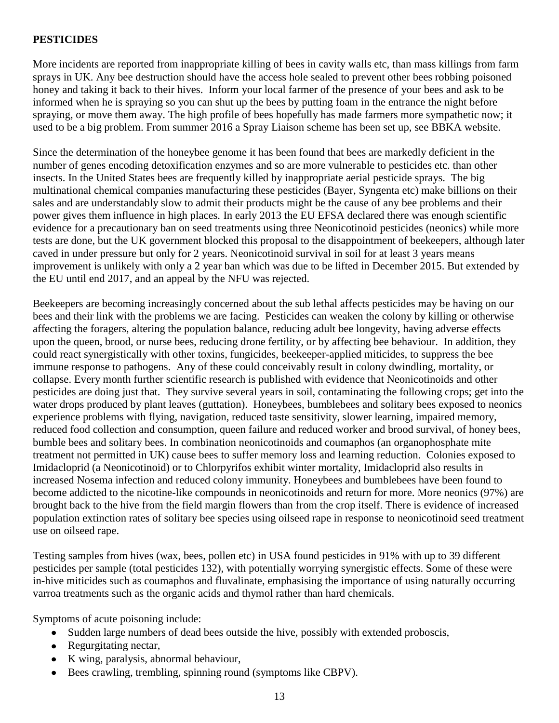# **PESTICIDES**

More incidents are reported from inappropriate killing of bees in cavity walls etc, than mass killings from farm sprays in UK. Any bee destruction should have the access hole sealed to prevent other bees robbing poisoned honey and taking it back to their hives. Inform your local farmer of the presence of your bees and ask to be informed when he is spraying so you can shut up the bees by putting foam in the entrance the night before spraying, or move them away. The high profile of bees hopefully has made farmers more sympathetic now; it used to be a big problem. From summer 2016 a Spray Liaison scheme has been set up, see BBKA website.

Since the determination of the honeybee genome it has been found that bees are markedly deficient in the number of genes encoding detoxification enzymes and so are more vulnerable to pesticides etc. than other insects. In the United States bees are frequently killed by inappropriate aerial pesticide sprays. The big multinational chemical companies manufacturing these pesticides (Bayer, Syngenta etc) make billions on their sales and are understandably slow to admit their products might be the cause of any bee problems and their power gives them influence in high places. In early 2013 the EU EFSA declared there was enough scientific evidence for a precautionary ban on seed treatments using three Neonicotinoid pesticides (neonics) while more tests are done, but the UK government blocked this proposal to the disappointment of beekeepers, although later caved in under pressure but only for 2 years. Neonicotinoid survival in soil for at least 3 years means improvement is unlikely with only a 2 year ban which was due to be lifted in December 2015. But extended by the EU until end 2017, and an appeal by the NFU was rejected.

Beekeepers are becoming increasingly concerned about the sub lethal affects pesticides may be having on our bees and their link with the problems we are facing. Pesticides can weaken the colony by killing or otherwise affecting the foragers, altering the population balance, reducing adult bee longevity, having adverse effects upon the queen, brood, or nurse bees, reducing drone fertility, or by affecting bee behaviour. In addition, they could react synergistically with other toxins, fungicides, beekeeper-applied miticides, to suppress the bee immune response to pathogens. Any of these could conceivably result in colony dwindling, mortality, or collapse. Every month further scientific research is published with evidence that Neonicotinoids and other pesticides are doing just that. They survive several years in soil, contaminating the following crops; get into the water drops produced by plant leaves (guttation). Honeybees, bumblebees and solitary bees exposed to neonics experience problems with flying, navigation, reduced taste sensitivity, slower learning, impaired memory, reduced food collection and consumption, queen failure and reduced worker and brood survival, of honey bees, bumble bees and solitary bees. In combination neonicotinoids and coumaphos (an organophosphate mite treatment not permitted in UK) cause bees to suffer memory loss and learning reduction. Colonies exposed to Imidacloprid (a Neonicotinoid) or to Chlorpyrifos exhibit winter mortality, Imidacloprid also results in increased Nosema infection and reduced colony immunity. Honeybees and bumblebees have been found to become addicted to the nicotine-like compounds in neonicotinoids and return for more. More neonics (97%) are brought back to the hive from the field margin flowers than from the crop itself. There is evidence of increased population extinction rates of solitary bee species using oilseed rape in response to neonicotinoid seed treatment use on oilseed rape.

Testing samples from hives (wax, bees, pollen etc) in USA found pesticides in 91% with up to 39 different pesticides per sample (total pesticides 132), with potentially worrying synergistic effects. Some of these were in-hive miticides such as coumaphos and fluvalinate, emphasising the importance of using naturally occurring varroa treatments such as the organic acids and thymol rather than hard chemicals.

Symptoms of acute poisoning include:

- Sudden large numbers of dead bees outside the hive, possibly with extended proboscis,
- Regurgitating nectar,
- K wing, paralysis, abnormal behaviour,
- Bees crawling, trembling, spinning round (symptoms like CBPV).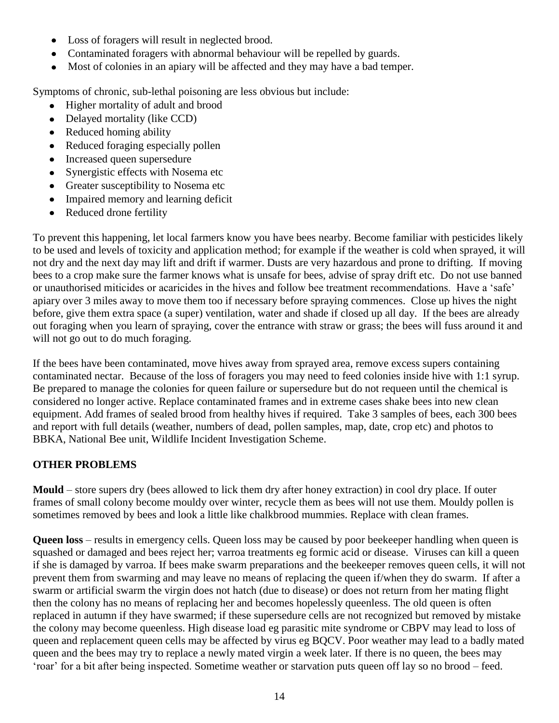- Loss of foragers will result in neglected brood.
- Contaminated foragers with abnormal behaviour will be repelled by guards.
- Most of colonies in an apiary will be affected and they may have a bad temper.

Symptoms of chronic, sub-lethal poisoning are less obvious but include:

- Higher mortality of adult and brood
- Delayed mortality (like CCD)
- Reduced homing ability
- Reduced foraging especially pollen
- Increased queen supersedure
- Synergistic effects with Nosema etc
- Greater susceptibility to Nosema etc
- Impaired memory and learning deficit
- Reduced drone fertility  $\bullet$

To prevent this happening, let local farmers know you have bees nearby. Become familiar with pesticides likely to be used and levels of toxicity and application method; for example if the weather is cold when sprayed, it will not dry and the next day may lift and drift if warmer. Dusts are very hazardous and prone to drifting. If moving bees to a crop make sure the farmer knows what is unsafe for bees, advise of spray drift etc. Do not use banned or unauthorised miticides or acaricides in the hives and follow bee treatment recommendations. Have a "safe" apiary over 3 miles away to move them too if necessary before spraying commences. Close up hives the night before, give them extra space (a super) ventilation, water and shade if closed up all day. If the bees are already out foraging when you learn of spraying, cover the entrance with straw or grass; the bees will fuss around it and will not go out to do much foraging.

If the bees have been contaminated, move hives away from sprayed area, remove excess supers containing contaminated nectar. Because of the loss of foragers you may need to feed colonies inside hive with 1:1 syrup. Be prepared to manage the colonies for queen failure or supersedure but do not requeen until the chemical is considered no longer active. Replace contaminated frames and in extreme cases shake bees into new clean equipment. Add frames of sealed brood from healthy hives if required. Take 3 samples of bees, each 300 bees and report with full details (weather, numbers of dead, pollen samples, map, date, crop etc) and photos to BBKA, National Bee unit, Wildlife Incident Investigation Scheme.

# **OTHER PROBLEMS**

**Mould** – store supers dry (bees allowed to lick them dry after honey extraction) in cool dry place. If outer frames of small colony become mouldy over winter, recycle them as bees will not use them. Mouldy pollen is sometimes removed by bees and look a little like chalkbrood mummies. Replace with clean frames.

**Queen loss** – results in emergency cells. Queen loss may be caused by poor beekeeper handling when queen is squashed or damaged and bees reject her; varroa treatments eg formic acid or disease. Viruses can kill a queen if she is damaged by varroa. If bees make swarm preparations and the beekeeper removes queen cells, it will not prevent them from swarming and may leave no means of replacing the queen if/when they do swarm. If after a swarm or artificial swarm the virgin does not hatch (due to disease) or does not return from her mating flight then the colony has no means of replacing her and becomes hopelessly queenless. The old queen is often replaced in autumn if they have swarmed; if these supersedure cells are not recognized but removed by mistake the colony may become queenless. High disease load eg parasitic mite syndrome or CBPV may lead to loss of queen and replacement queen cells may be affected by virus eg BQCV. Poor weather may lead to a badly mated queen and the bees may try to replace a newly mated virgin a week later. If there is no queen, the bees may "roar" for a bit after being inspected. Sometime weather or starvation puts queen off lay so no brood – feed.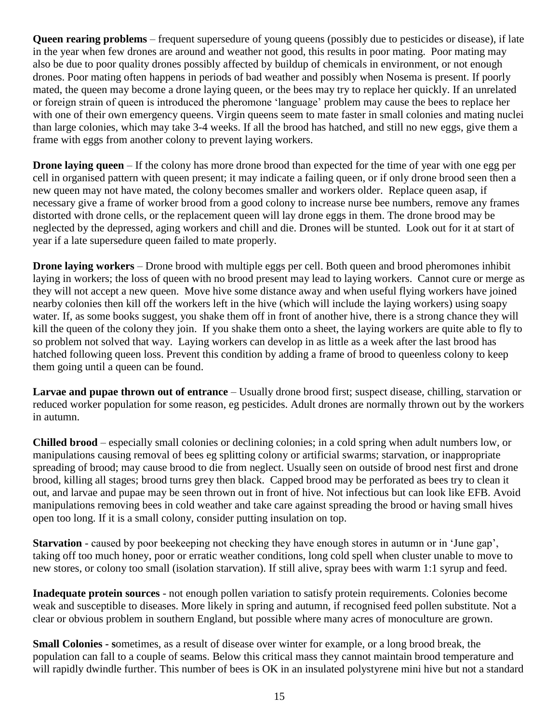**Queen rearing problems** – frequent supersedure of young queens (possibly due to pesticides or disease), if late in the year when few drones are around and weather not good, this results in poor mating. Poor mating may also be due to poor quality drones possibly affected by buildup of chemicals in environment, or not enough drones. Poor mating often happens in periods of bad weather and possibly when Nosema is present. If poorly mated, the queen may become a drone laying queen, or the bees may try to replace her quickly. If an unrelated or foreign strain of queen is introduced the pheromone "language" problem may cause the bees to replace her with one of their own emergency queens. Virgin queens seem to mate faster in small colonies and mating nuclei than large colonies, which may take 3-4 weeks. If all the brood has hatched, and still no new eggs, give them a frame with eggs from another colony to prevent laying workers.

**Drone laying queen** – If the colony has more drone brood than expected for the time of year with one egg per cell in organised pattern with queen present; it may indicate a failing queen, or if only drone brood seen then a new queen may not have mated, the colony becomes smaller and workers older. Replace queen asap, if necessary give a frame of worker brood from a good colony to increase nurse bee numbers, remove any frames distorted with drone cells, or the replacement queen will lay drone eggs in them. The drone brood may be neglected by the depressed, aging workers and chill and die. Drones will be stunted. Look out for it at start of year if a late supersedure queen failed to mate properly.

**Drone laying workers** – Drone brood with multiple eggs per cell. Both queen and brood pheromones inhibit laying in workers; the loss of queen with no brood present may lead to laying workers. Cannot cure or merge as they will not accept a new queen. Move hive some distance away and when useful flying workers have joined nearby colonies then kill off the workers left in the hive (which will include the laying workers) using soapy water. If, as some books suggest, you shake them off in front of another hive, there is a strong chance they will kill the queen of the colony they join. If you shake them onto a sheet, the laying workers are quite able to fly to so problem not solved that way. Laying workers can develop in as little as a week after the last brood has hatched following queen loss. Prevent this condition by adding a frame of brood to queenless colony to keep them going until a queen can be found.

**Larvae and pupae thrown out of entrance** – Usually drone brood first; suspect disease, chilling, starvation or reduced worker population for some reason, eg pesticides. Adult drones are normally thrown out by the workers in autumn.

**Chilled brood** – especially small colonies or declining colonies; in a cold spring when adult numbers low, or manipulations causing removal of bees eg splitting colony or artificial swarms; starvation, or inappropriate spreading of brood; may cause brood to die from neglect. Usually seen on outside of brood nest first and drone brood, killing all stages; brood turns grey then black. Capped brood may be perforated as bees try to clean it out, and larvae and pupae may be seen thrown out in front of hive. Not infectious but can look like EFB. Avoid manipulations removing bees in cold weather and take care against spreading the brood or having small hives open too long. If it is a small colony, consider putting insulation on top.

**Starvation** - caused by poor beekeeping not checking they have enough stores in autumn or in 'June gap', taking off too much honey, poor or erratic weather conditions, long cold spell when cluster unable to move to new stores, or colony too small (isolation starvation). If still alive, spray bees with warm 1:1 syrup and feed.

**Inadequate protein sources** - not enough pollen variation to satisfy protein requirements. Colonies become weak and susceptible to diseases. More likely in spring and autumn, if recognised feed pollen substitute. Not a clear or obvious problem in southern England, but possible where many acres of monoculture are grown.

**Small Colonies - s**ometimes, as a result of disease over winter for example, or a long brood break, the population can fall to a couple of seams. Below this critical mass they cannot maintain brood temperature and will rapidly dwindle further. This number of bees is OK in an insulated polystyrene mini hive but not a standard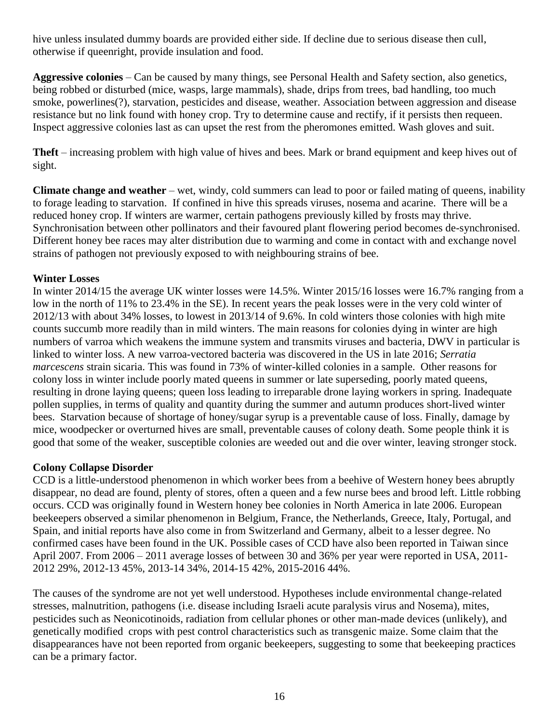hive unless insulated dummy boards are provided either side. If decline due to serious disease then cull, otherwise if queenright, provide insulation and food.

**Aggressive colonies** – Can be caused by many things, see Personal Health and Safety section, also genetics, being robbed or disturbed (mice, wasps, large mammals), shade, drips from trees, bad handling, too much smoke, powerlines(?), starvation, pesticides and disease, weather. Association between aggression and disease resistance but no link found with honey crop. Try to determine cause and rectify, if it persists then requeen. Inspect aggressive colonies last as can upset the rest from the pheromones emitted. Wash gloves and suit.

**Theft** – increasing problem with high value of hives and bees. Mark or brand equipment and keep hives out of sight.

**Climate change and weather** – wet, windy, cold summers can lead to poor or failed mating of queens, inability to forage leading to starvation. If confined in hive this spreads viruses, nosema and acarine. There will be a reduced honey crop. If winters are warmer, certain pathogens previously killed by frosts may thrive. Synchronisation between other pollinators and their favoured plant flowering period becomes de-synchronised. Different honey bee races may alter distribution due to warming and come in contact with and exchange novel strains of pathogen not previously exposed to with neighbouring strains of bee.

# **Winter Losses**

In winter 2014/15 the average UK winter losses were 14.5%. Winter 2015/16 losses were 16.7% ranging from a low in the north of 11% to 23.4% in the SE). In recent years the peak losses were in the very cold winter of 2012/13 with about 34% losses, to lowest in 2013/14 of 9.6%. In cold winters those colonies with high mite counts succumb more readily than in mild winters. The main reasons for colonies dying in winter are high numbers of varroa which weakens the immune system and transmits viruses and bacteria, DWV in particular is linked to winter loss. A new varroa-vectored bacteria was discovered in the US in late 2016; *Serratia marcescens* strain sicaria. This was found in 73% of winter-killed colonies in a sample. Other reasons for colony loss in winter include poorly mated queens in summer or late superseding, poorly mated queens, resulting in drone laying queens; queen loss leading to irreparable drone laying workers in spring. Inadequate pollen supplies, in terms of quality and quantity during the summer and autumn produces short-lived winter bees. Starvation because of shortage of honey/sugar syrup is a preventable cause of loss. Finally, damage by mice, woodpecker or overturned hives are small, preventable causes of colony death. Some people think it is good that some of the weaker, susceptible colonies are weeded out and die over winter, leaving stronger stock.

# **Colony Collapse Disorder**

CCD is a little-understood phenomenon in which worker bees from a [beehive](http://en.wikipedia.org/wiki/Beehive_%28beekeeping%29) of [Western honey bees](http://en.wikipedia.org/wiki/Western_honey_bee) abruptly disappear, no dead are found, plenty of stores, often a queen and a few nurse bees and brood left. Little robbing occurs. CCD was originally found in Western honey bee colonies in [North America](http://en.wikipedia.org/wiki/North_America) in late 2006. European beekeepers observed a similar phenomenon in [Belgium,](http://en.wikipedia.org/wiki/Belgium) [France,](http://en.wikipedia.org/wiki/France) the [Netherlands,](http://en.wikipedia.org/wiki/Netherlands) [Greece,](http://en.wikipedia.org/wiki/Greece) [Italy,](http://en.wikipedia.org/wiki/Italy) [Portugal,](http://en.wikipedia.org/wiki/Portugal) and [Spain,](http://en.wikipedia.org/wiki/Spain) and initial reports have also come in from [Switzerland](http://en.wikipedia.org/wiki/Switzerland) and [Germany,](http://en.wikipedia.org/wiki/Germany) albeit to a lesser degree. No confirmed cases have been found in the UK. Possible cases of CCD have also been reported in [Taiwan](http://en.wikipedia.org/wiki/Taiwan) since April 2007. From 2006 – 2011 average losses of between 30 and 36% per year were reported in USA, 2011- 2012 29%, 2012-13 45%, 2013-14 34%, 2014-15 42%, 2015-2016 44%.

The causes of the syndrome are not yet well understood. Hypotheses include environmental change-related stresses, [malnutrition,](http://en.wikipedia.org/wiki/Malnutrition) [pathogens](http://en.wikipedia.org/wiki/Pathogen) (i.e. disease including [Israeli acute paralysis virus](http://en.wikipedia.org/wiki/Diseases_of_the_honey_bee#Israel_acute_paralysis_virus_.28IAPV.29) and Nosema), [mites,](http://en.wikipedia.org/wiki/Mite) [pesticides](http://en.wikipedia.org/wiki/Pesticide_toxicity_to_bees) such as [Neonicotinoids,](http://en.wikipedia.org/wiki/Neonicotinoids) radiation from cellular phones or other man-made devices (unlikely), and [genetically modified crops](http://en.wikipedia.org/wiki/Genetically_modified_food) with pest control characteristics such as [transgenic maize.](http://en.wikipedia.org/wiki/Transgenic_maize) Some claim that the disappearances have not been reported from [organic](http://en.wikipedia.org/wiki/Organic_farming) beekeepers, suggesting to some that beekeeping practices can be a primary factor.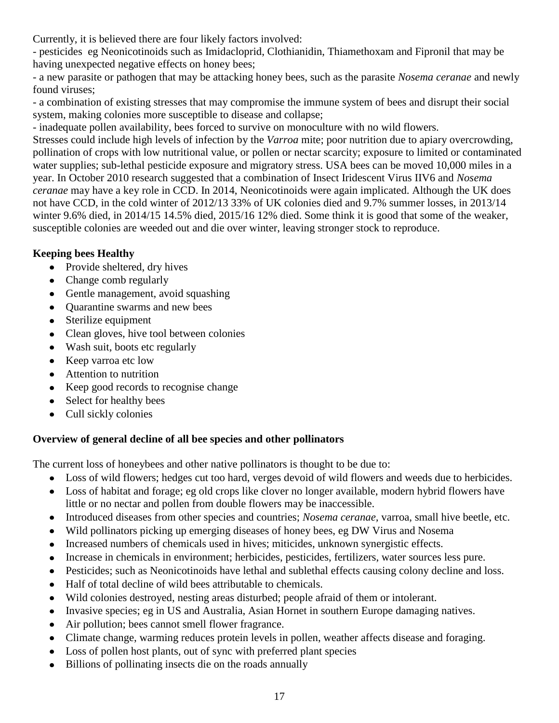Currently, it is believed there are four likely factors involved:

- pesticides eg Neonicotinoids such as Imidacloprid, Clothianidin, Thiamethoxam and Fipronil that may be having unexpected negative effects on honey bees;

- a new parasite or pathogen that may be attacking honey bees, such as the parasite *Nosema ceranae* and newly found viruses;

- a combination of existing stresses that may compromise the immune system of bees and disrupt their social system, making colonies more susceptible to disease and collapse;

- inadequate pollen availability, bees forced to survive on monoculture with no wild flowers.

Stresses could include high levels of infection by the *Varroa* mite; poor nutrition due to apiary overcrowding, pollination of crops with low nutritional value, or pollen or nectar scarcity; exposure to limited or contaminated water supplies; sub-lethal pesticide exposure and migratory stress. USA bees can be moved 10,000 miles in a year. In October 2010 research suggested that a combination of Insect Iridescent Virus IIV6 and *Nosema ceranae* may have a key role in CCD. In 2014, Neonicotinoids were again implicated. Although the UK does not have CCD, in the cold winter of 2012/13 33% of UK colonies died and 9.7% summer losses, in 2013/14 winter 9.6% died, in 2014/15 14.5% died, 2015/16 12% died. Some think it is good that some of the weaker, susceptible colonies are weeded out and die over winter, leaving stronger stock to reproduce.

# **Keeping bees Healthy**

- Provide sheltered, dry hives
- Change comb regularly
- Gentle management, avoid squashing
- Quarantine swarms and new bees
- Sterilize equipment
- Clean gloves, hive tool between colonies
- Wash suit, boots etc regularly
- Keep varroa etc low
- Attention to nutrition
- Keep good records to recognise change
- Select for healthy bees  $\bullet$
- Cull sickly colonies

# **Overview of general decline of all bee species and other pollinators**

The current loss of honeybees and other native pollinators is thought to be due to:

- Loss of wild flowers; hedges cut too hard, verges devoid of wild flowers and weeds due to herbicides.
- Loss of habitat and forage; eg old crops like clover no longer available, modern hybrid flowers have little or no nectar and pollen from double flowers may be inaccessible.
- Introduced diseases from other species and countries; *Nosema ceranae,* varroa, small hive beetle, etc.  $\bullet$
- Wild pollinators picking up emerging diseases of honey bees, eg DW Virus and Nosema
- Increased numbers of chemicals used in hives; miticides, unknown synergistic effects.
- Increase in chemicals in environment; herbicides, pesticides, fertilizers, water sources less pure.  $\bullet$
- Pesticides; such as Neonicotinoids have lethal and sublethal effects causing colony decline and loss.
- Half of total decline of wild bees attributable to chemicals.  $\bullet$
- Wild colonies destroyed, nesting areas disturbed; people afraid of them or intolerant.
- Invasive species; eg in US and Australia, Asian Hornet in southern Europe damaging natives.  $\bullet$
- Air pollution; bees cannot smell flower fragrance.  $\bullet$
- Climate change, warming reduces protein levels in pollen, weather affects disease and foraging.  $\bullet$
- Loss of pollen host plants, out of sync with preferred plant species  $\bullet$
- Billions of pollinating insects die on the roads annually $\bullet$